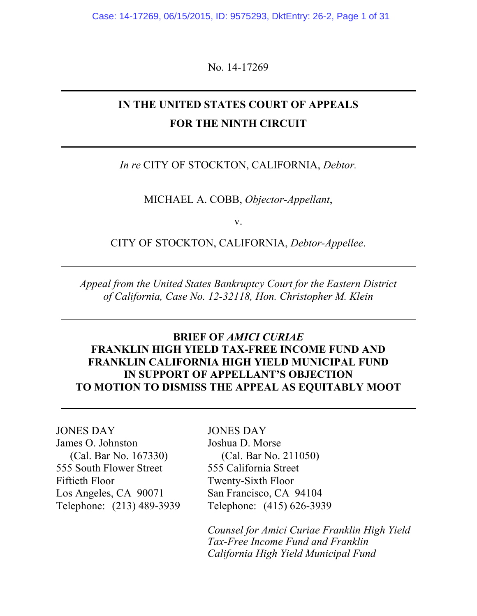Case: 14-17269, 06/15/2015, ID: 9575293, DktEntry: 26-2, Page 1 of 31

No. 14-17269

# **IN THE UNITED STATES COURT OF APPEALS FOR THE NINTH CIRCUIT**

#### *In re* CITY OF STOCKTON, CALIFORNIA, *Debtor.*

MICHAEL A. COBB, *Objector-Appellant*,

v.

CITY OF STOCKTON, CALIFORNIA, *Debtor-Appellee*.

*Appeal from the United States Bankruptcy Court for the Eastern District of California, Case No. 12-32118, Hon. Christopher M. Klein*

## **BRIEF OF** *AMICI CURIAE* **FRANKLIN HIGH YIELD TAX-FREE INCOME FUND AND FRANKLIN CALIFORNIA HIGH YIELD MUNICIPAL FUND IN SUPPORT OF APPELLANT'S OBJECTION TO MOTION TO DISMISS THE APPEAL AS EQUITABLY MOOT**

## JONES DAY

James O. Johnston (Cal. Bar No. 167330) 555 South Flower Street Fiftieth Floor Los Angeles, CA 90071 Telephone: (213) 489-3939

#### JONES DAY

Joshua D. Morse (Cal. Bar No. 211050) 555 California Street Twenty-Sixth Floor San Francisco, CA 94104 Telephone: (415) 626-3939

*Counsel for Amici Curiae Franklin High Yield Tax-Free Income Fund and Franklin California High Yield Municipal Fund*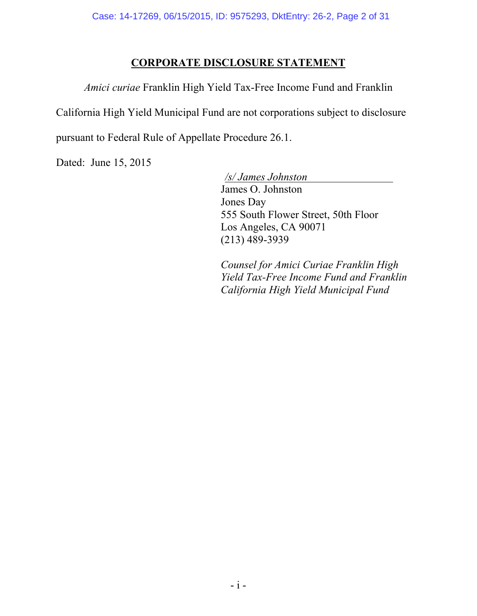## **CORPORATE DISCLOSURE STATEMENT**

*Amici curiae* Franklin High Yield Tax-Free Income Fund and Franklin

California High Yield Municipal Fund are not corporations subject to disclosure

pursuant to Federal Rule of Appellate Procedure 26.1.

Dated: June 15, 2015

 */s/ James Johnston*  James O. Johnston Jones Day 555 South Flower Street, 50th Floor Los Angeles, CA 90071 (213) 489-3939

*Counsel for Amici Curiae Franklin High Yield Tax-Free Income Fund and Franklin California High Yield Municipal Fund*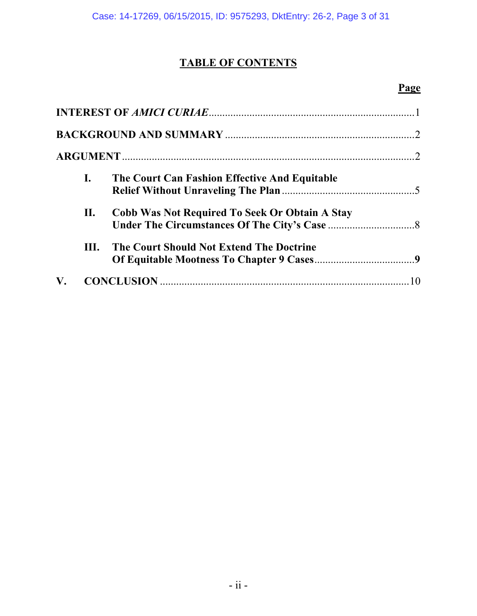# **TABLE OF CONTENTS**

# **Page**

|    | $\mathbf{I}$ . | The Court Can Fashion Effective And Equitable         |    |
|----|----------------|-------------------------------------------------------|----|
|    | П.             | <b>Cobb Was Not Required To Seek Or Obtain A Stay</b> |    |
|    | Ш.             | <b>The Court Should Not Extend The Doctrine</b>       |    |
| V. |                |                                                       | 10 |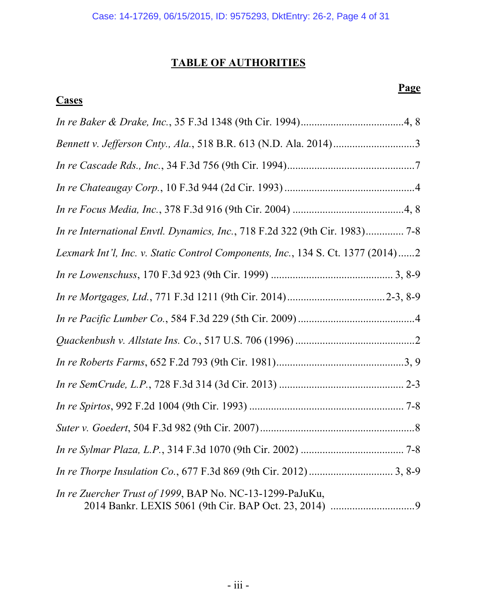# **TABLE OF AUTHORITIES**

# **Cases**

# **Page**

| In re International Envtl. Dynamics, Inc., 718 F.2d 322 (9th Cir. 1983) 7-8     |  |  |  |
|---------------------------------------------------------------------------------|--|--|--|
| Lexmark Int'l, Inc. v. Static Control Components, Inc., 134 S. Ct. 1377 (2014)2 |  |  |  |
|                                                                                 |  |  |  |
|                                                                                 |  |  |  |
|                                                                                 |  |  |  |
|                                                                                 |  |  |  |
|                                                                                 |  |  |  |
|                                                                                 |  |  |  |
|                                                                                 |  |  |  |
|                                                                                 |  |  |  |
|                                                                                 |  |  |  |
|                                                                                 |  |  |  |
| In re Zuercher Trust of 1999, BAP No. NC-13-1299-PaJuKu,                        |  |  |  |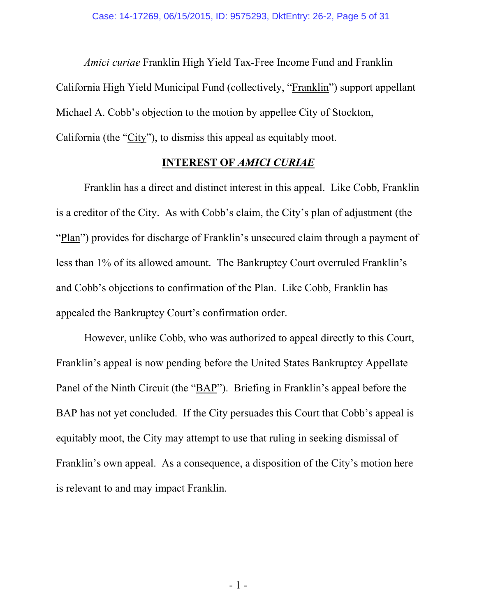*Amici curiae* Franklin High Yield Tax-Free Income Fund and Franklin California High Yield Municipal Fund (collectively, "Franklin") support appellant Michael A. Cobb's objection to the motion by appellee City of Stockton, California (the "City"), to dismiss this appeal as equitably moot.

### **INTEREST OF** *AMICI CURIAE*

Franklin has a direct and distinct interest in this appeal. Like Cobb, Franklin is a creditor of the City. As with Cobb's claim, the City's plan of adjustment (the "Plan") provides for discharge of Franklin's unsecured claim through a payment of less than 1% of its allowed amount. The Bankruptcy Court overruled Franklin's and Cobb's objections to confirmation of the Plan. Like Cobb, Franklin has appealed the Bankruptcy Court's confirmation order.

However, unlike Cobb, who was authorized to appeal directly to this Court, Franklin's appeal is now pending before the United States Bankruptcy Appellate Panel of the Ninth Circuit (the "BAP"). Briefing in Franklin's appeal before the BAP has not yet concluded. If the City persuades this Court that Cobb's appeal is equitably moot, the City may attempt to use that ruling in seeking dismissal of Franklin's own appeal. As a consequence, a disposition of the City's motion here is relevant to and may impact Franklin.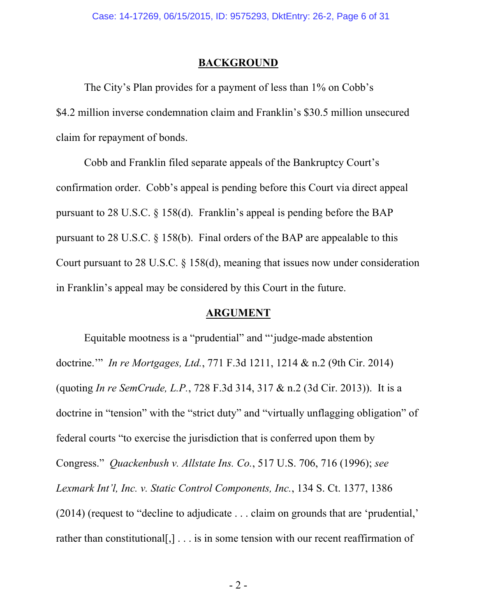#### **BACKGROUND**

The City's Plan provides for a payment of less than 1% on Cobb's \$4.2 million inverse condemnation claim and Franklin's \$30.5 million unsecured claim for repayment of bonds.

Cobb and Franklin filed separate appeals of the Bankruptcy Court's confirmation order. Cobb's appeal is pending before this Court via direct appeal pursuant to 28 U.S.C. § 158(d). Franklin's appeal is pending before the BAP pursuant to 28 U.S.C. § 158(b). Final orders of the BAP are appealable to this Court pursuant to 28 U.S.C. § 158(d), meaning that issues now under consideration in Franklin's appeal may be considered by this Court in the future.

### **ARGUMENT**

Equitable mootness is a "prudential" and "'judge-made abstention doctrine.'" *In re Mortgages, Ltd.*, 771 F.3d 1211, 1214 & n.2 (9th Cir. 2014) (quoting *In re SemCrude, L.P.*, 728 F.3d 314, 317 & n.2 (3d Cir. 2013)). It is a doctrine in "tension" with the "strict duty" and "virtually unflagging obligation" of federal courts "to exercise the jurisdiction that is conferred upon them by Congress." *Quackenbush v. Allstate Ins. Co.*, 517 U.S. 706, 716 (1996); *see Lexmark Int'l, Inc. v. Static Control Components, Inc.*, 134 S. Ct. 1377, 1386 (2014) (request to "decline to adjudicate . . . claim on grounds that are 'prudential,' rather than constitutional[,] . . . is in some tension with our recent reaffirmation of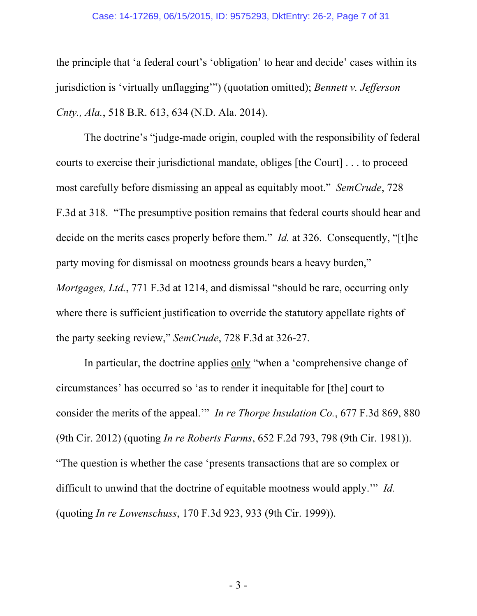#### Case: 14-17269, 06/15/2015, ID: 9575293, DktEntry: 26-2, Page 7 of 31

the principle that 'a federal court's 'obligation' to hear and decide' cases within its jurisdiction is 'virtually unflagging'") (quotation omitted); *Bennett v. Jefferson Cnty., Ala.*, 518 B.R. 613, 634 (N.D. Ala. 2014).

The doctrine's "judge-made origin, coupled with the responsibility of federal courts to exercise their jurisdictional mandate, obliges [the Court] . . . to proceed most carefully before dismissing an appeal as equitably moot." *SemCrude*, 728 F.3d at 318. "The presumptive position remains that federal courts should hear and decide on the merits cases properly before them." *Id.* at 326. Consequently, "[t]he party moving for dismissal on mootness grounds bears a heavy burden," *Mortgages, Ltd.*, 771 F.3d at 1214, and dismissal "should be rare, occurring only where there is sufficient justification to override the statutory appellate rights of the party seeking review," *SemCrude*, 728 F.3d at 326-27.

In particular, the doctrine applies only "when a 'comprehensive change of circumstances' has occurred so 'as to render it inequitable for [the] court to consider the merits of the appeal.'" *In re Thorpe Insulation Co.*, 677 F.3d 869, 880 (9th Cir. 2012) (quoting *In re Roberts Farms*, 652 F.2d 793, 798 (9th Cir. 1981)). "The question is whether the case 'presents transactions that are so complex or difficult to unwind that the doctrine of equitable mootness would apply.'" *Id.* (quoting *In re Lowenschuss*, 170 F.3d 923, 933 (9th Cir. 1999)).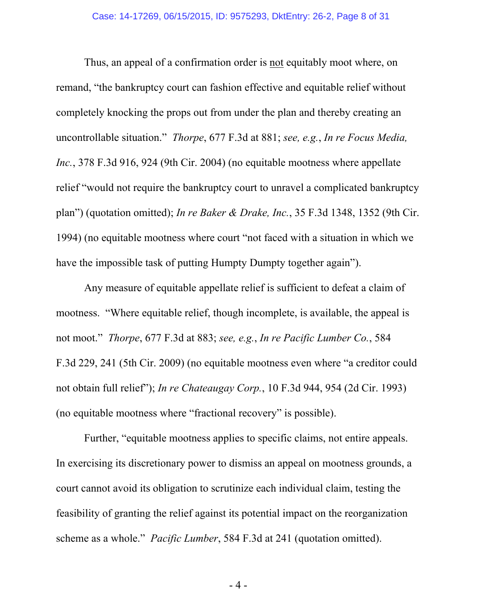Thus, an appeal of a confirmation order is not equitably moot where, on remand, "the bankruptcy court can fashion effective and equitable relief without completely knocking the props out from under the plan and thereby creating an uncontrollable situation." *Thorpe*, 677 F.3d at 881; *see, e.g.*, *In re Focus Media, Inc.*, 378 F.3d 916, 924 (9th Cir. 2004) (no equitable mootness where appellate relief "would not require the bankruptcy court to unravel a complicated bankruptcy plan") (quotation omitted); *In re Baker & Drake, Inc.*, 35 F.3d 1348, 1352 (9th Cir. 1994) (no equitable mootness where court "not faced with a situation in which we have the impossible task of putting Humpty Dumpty together again").

Any measure of equitable appellate relief is sufficient to defeat a claim of mootness. "Where equitable relief, though incomplete, is available, the appeal is not moot." *Thorpe*, 677 F.3d at 883; *see, e.g.*, *In re Pacific Lumber Co.*, 584 F.3d 229, 241 (5th Cir. 2009) (no equitable mootness even where "a creditor could not obtain full relief"); *In re Chateaugay Corp.*, 10 F.3d 944, 954 (2d Cir. 1993) (no equitable mootness where "fractional recovery" is possible).

Further, "equitable mootness applies to specific claims, not entire appeals. In exercising its discretionary power to dismiss an appeal on mootness grounds, a court cannot avoid its obligation to scrutinize each individual claim, testing the feasibility of granting the relief against its potential impact on the reorganization scheme as a whole." *Pacific Lumber*, 584 F.3d at 241 (quotation omitted).

- 4 -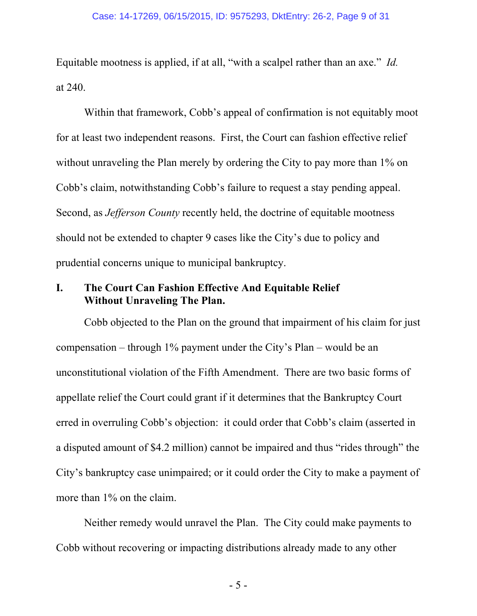Equitable mootness is applied, if at all, "with a scalpel rather than an axe." *Id.* at 240.

Within that framework, Cobb's appeal of confirmation is not equitably moot for at least two independent reasons. First, the Court can fashion effective relief without unraveling the Plan merely by ordering the City to pay more than 1% on Cobb's claim, notwithstanding Cobb's failure to request a stay pending appeal. Second, as *Jefferson County* recently held, the doctrine of equitable mootness should not be extended to chapter 9 cases like the City's due to policy and prudential concerns unique to municipal bankruptcy.

## **I. The Court Can Fashion Effective And Equitable Relief Without Unraveling The Plan.**

Cobb objected to the Plan on the ground that impairment of his claim for just compensation – through 1% payment under the City's Plan – would be an unconstitutional violation of the Fifth Amendment. There are two basic forms of appellate relief the Court could grant if it determines that the Bankruptcy Court erred in overruling Cobb's objection: it could order that Cobb's claim (asserted in a disputed amount of \$4.2 million) cannot be impaired and thus "rides through" the City's bankruptcy case unimpaired; or it could order the City to make a payment of more than 1% on the claim.

Neither remedy would unravel the Plan. The City could make payments to Cobb without recovering or impacting distributions already made to any other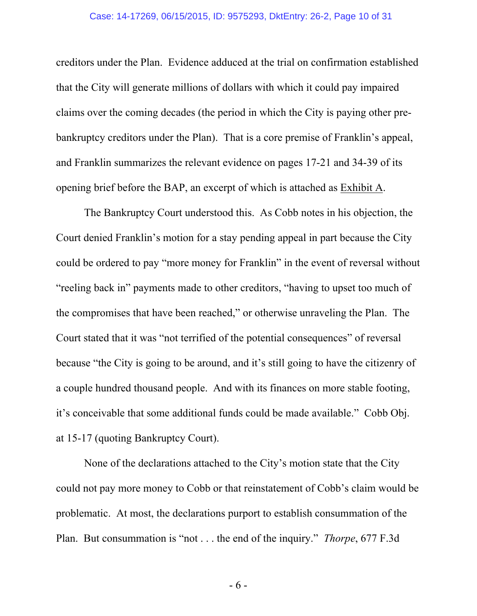#### Case: 14-17269, 06/15/2015, ID: 9575293, DktEntry: 26-2, Page 10 of 31

creditors under the Plan. Evidence adduced at the trial on confirmation established that the City will generate millions of dollars with which it could pay impaired claims over the coming decades (the period in which the City is paying other prebankruptcy creditors under the Plan). That is a core premise of Franklin's appeal, and Franklin summarizes the relevant evidence on pages 17-21 and 34-39 of its opening brief before the BAP, an excerpt of which is attached as Exhibit A.

The Bankruptcy Court understood this. As Cobb notes in his objection, the Court denied Franklin's motion for a stay pending appeal in part because the City could be ordered to pay "more money for Franklin" in the event of reversal without "reeling back in" payments made to other creditors, "having to upset too much of the compromises that have been reached," or otherwise unraveling the Plan. The Court stated that it was "not terrified of the potential consequences" of reversal because "the City is going to be around, and it's still going to have the citizenry of a couple hundred thousand people. And with its finances on more stable footing, it's conceivable that some additional funds could be made available." Cobb Obj. at 15-17 (quoting Bankruptcy Court).

None of the declarations attached to the City's motion state that the City could not pay more money to Cobb or that reinstatement of Cobb's claim would be problematic. At most, the declarations purport to establish consummation of the Plan. But consummation is "not . . . the end of the inquiry." *Thorpe*, 677 F.3d

- 6 -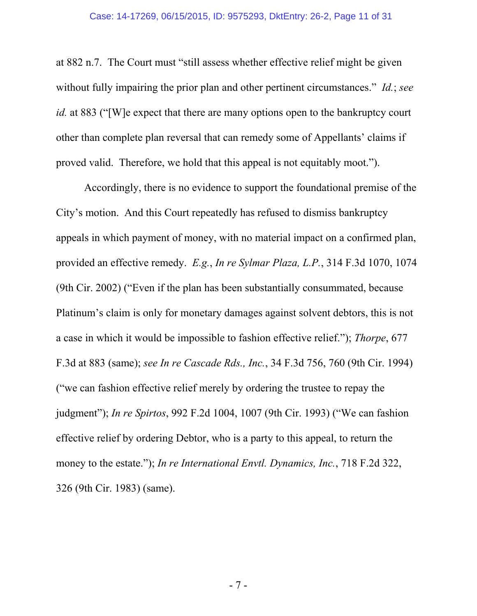at 882 n.7. The Court must "still assess whether effective relief might be given without fully impairing the prior plan and other pertinent circumstances." *Id.*; *see id.* at 883 ("[W]e expect that there are many options open to the bankruptcy court other than complete plan reversal that can remedy some of Appellants' claims if proved valid. Therefore, we hold that this appeal is not equitably moot.").

Accordingly, there is no evidence to support the foundational premise of the City's motion. And this Court repeatedly has refused to dismiss bankruptcy appeals in which payment of money, with no material impact on a confirmed plan, provided an effective remedy. *E.g.*, *In re Sylmar Plaza, L.P.*, 314 F.3d 1070, 1074 (9th Cir. 2002) ("Even if the plan has been substantially consummated, because Platinum's claim is only for monetary damages against solvent debtors, this is not a case in which it would be impossible to fashion effective relief."); *Thorpe*, 677 F.3d at 883 (same); *see In re Cascade Rds., Inc.*, 34 F.3d 756, 760 (9th Cir. 1994) ("we can fashion effective relief merely by ordering the trustee to repay the judgment"); *In re Spirtos*, 992 F.2d 1004, 1007 (9th Cir. 1993) ("We can fashion effective relief by ordering Debtor, who is a party to this appeal, to return the money to the estate."); *In re International Envtl. Dynamics, Inc.*, 718 F.2d 322, 326 (9th Cir. 1983) (same).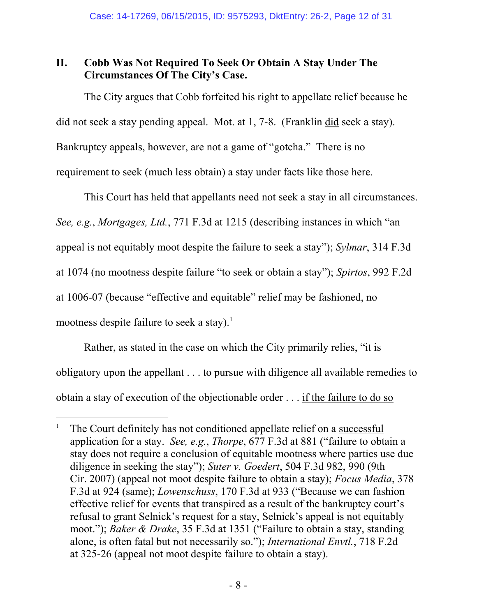# **II. Cobb Was Not Required To Seek Or Obtain A Stay Under The Circumstances Of The City's Case.**

The City argues that Cobb forfeited his right to appellate relief because he did not seek a stay pending appeal. Mot. at 1, 7-8. (Franklin did seek a stay). Bankruptcy appeals, however, are not a game of "gotcha." There is no requirement to seek (much less obtain) a stay under facts like those here.

This Court has held that appellants need not seek a stay in all circumstances. *See, e.g.*, *Mortgages, Ltd.*, 771 F.3d at 1215 (describing instances in which "an appeal is not equitably moot despite the failure to seek a stay"); *Sylmar*, 314 F.3d at 1074 (no mootness despite failure "to seek or obtain a stay"); *Spirtos*, 992 F.2d at 1006-07 (because "effective and equitable" relief may be fashioned, no mootness despite failure to seek a stay).<sup>1</sup>

Rather, as stated in the case on which the City primarily relies, "it is obligatory upon the appellant . . . to pursue with diligence all available remedies to obtain a stay of execution of the objectionable order . . . if the failure to do so

<sup>1</sup> The Court definitely has not conditioned appellate relief on a successful application for a stay. *See, e.g.*, *Thorpe*, 677 F.3d at 881 ("failure to obtain a stay does not require a conclusion of equitable mootness where parties use due diligence in seeking the stay"); *Suter v. Goedert*, 504 F.3d 982, 990 (9th Cir. 2007) (appeal not moot despite failure to obtain a stay); *Focus Media*, 378 F.3d at 924 (same); *Lowenschuss*, 170 F.3d at 933 ("Because we can fashion effective relief for events that transpired as a result of the bankruptcy court's refusal to grant Selnick's request for a stay, Selnick's appeal is not equitably moot."); *Baker & Drake*, 35 F.3d at 1351 ("Failure to obtain a stay, standing alone, is often fatal but not necessarily so."); *International Envtl.*, 718 F.2d at 325-26 (appeal not moot despite failure to obtain a stay).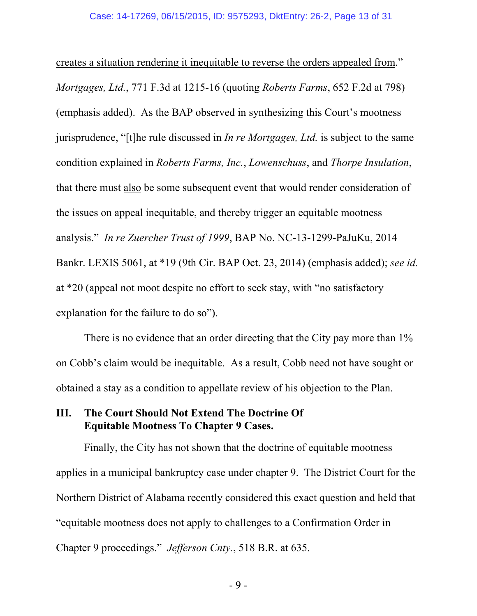creates a situation rendering it inequitable to reverse the orders appealed from." *Mortgages, Ltd.*, 771 F.3d at 1215-16 (quoting *Roberts Farms*, 652 F.2d at 798) (emphasis added). As the BAP observed in synthesizing this Court's mootness jurisprudence, "[t]he rule discussed in *In re Mortgages, Ltd.* is subject to the same condition explained in *Roberts Farms, Inc.*, *Lowenschuss*, and *Thorpe Insulation*, that there must also be some subsequent event that would render consideration of the issues on appeal inequitable, and thereby trigger an equitable mootness analysis." *In re Zuercher Trust of 1999*, BAP No. NC-13-1299-PaJuKu, 2014 Bankr. LEXIS 5061, at \*19 (9th Cir. BAP Oct. 23, 2014) (emphasis added); *see id.* at \*20 (appeal not moot despite no effort to seek stay, with "no satisfactory explanation for the failure to do so").

There is no evidence that an order directing that the City pay more than 1% on Cobb's claim would be inequitable. As a result, Cobb need not have sought or obtained a stay as a condition to appellate review of his objection to the Plan.

## **III. The Court Should Not Extend The Doctrine Of Equitable Mootness To Chapter 9 Cases.**

Finally, the City has not shown that the doctrine of equitable mootness applies in a municipal bankruptcy case under chapter 9. The District Court for the Northern District of Alabama recently considered this exact question and held that "equitable mootness does not apply to challenges to a Confirmation Order in Chapter 9 proceedings." *Jefferson Cnty.*, 518 B.R. at 635.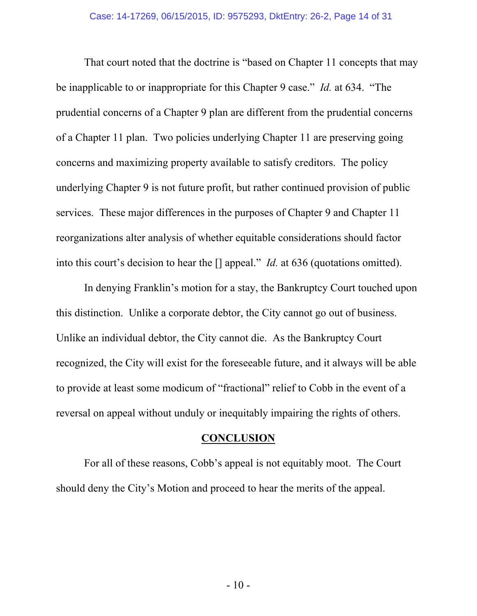That court noted that the doctrine is "based on Chapter 11 concepts that may be inapplicable to or inappropriate for this Chapter 9 case." *Id.* at 634. "The prudential concerns of a Chapter 9 plan are different from the prudential concerns of a Chapter 11 plan. Two policies underlying Chapter 11 are preserving going concerns and maximizing property available to satisfy creditors. The policy underlying Chapter 9 is not future profit, but rather continued provision of public services. These major differences in the purposes of Chapter 9 and Chapter 11 reorganizations alter analysis of whether equitable considerations should factor into this court's decision to hear the [] appeal." *Id.* at 636 (quotations omitted).

In denying Franklin's motion for a stay, the Bankruptcy Court touched upon this distinction. Unlike a corporate debtor, the City cannot go out of business. Unlike an individual debtor, the City cannot die. As the Bankruptcy Court recognized, the City will exist for the foreseeable future, and it always will be able to provide at least some modicum of "fractional" relief to Cobb in the event of a reversal on appeal without unduly or inequitably impairing the rights of others.

#### **CONCLUSION**

For all of these reasons, Cobb's appeal is not equitably moot. The Court should deny the City's Motion and proceed to hear the merits of the appeal.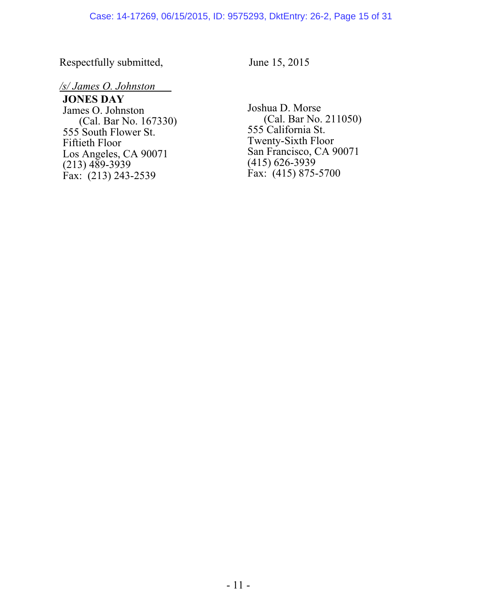Respectfully submitted, June 15, 2015

#### */s/ James O. Johnston*

**JONES DAY**  James O. Johnston (Cal. Bar No. 167330) 555 South Flower St. Fiftieth Floor Los Angeles, CA 90071  $(213)$  489-3939 Fax:  $(213)$  243-2539

Joshua D. Morse (Cal. Bar No. 211050) 555 California St. Twenty-Sixth Floor San Francisco, CA 90071 (415) 626-3939  $\hat{F}ax'$  (415) 875-5700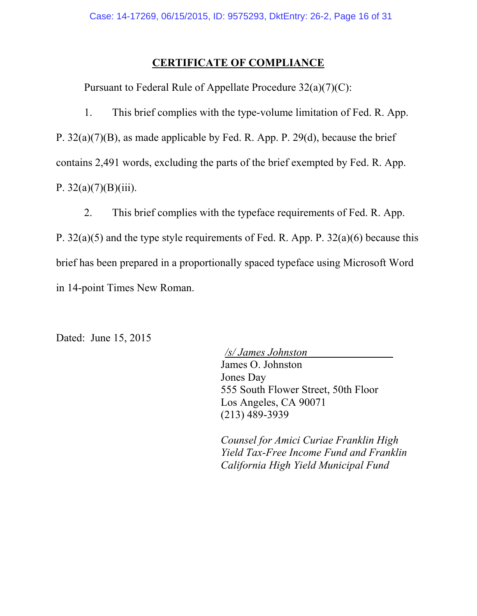#### **CERTIFICATE OF COMPLIANCE**

Pursuant to Federal Rule of Appellate Procedure 32(a)(7)(C):

1. This brief complies with the type-volume limitation of Fed. R. App. P. 32(a)(7)(B), as made applicable by Fed. R. App. P. 29(d), because the brief contains 2,491 words, excluding the parts of the brief exempted by Fed. R. App. P.  $32(a)(7)(B)(iii)$ .

2. This brief complies with the typeface requirements of Fed. R. App. P. 32(a)(5) and the type style requirements of Fed. R. App. P. 32(a)(6) because this brief has been prepared in a proportionally spaced typeface using Microsoft Word in 14-point Times New Roman.

Dated: June 15, 2015

 */s/ James Johnston*  James O. Johnston Jones Day 555 South Flower Street, 50th Floor Los Angeles, CA 90071 (213) 489-3939

*Counsel for Amici Curiae Franklin High Yield Tax-Free Income Fund and Franklin California High Yield Municipal Fund*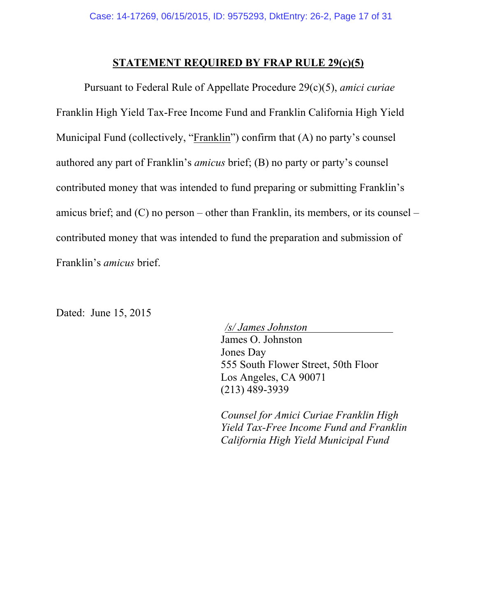#### **STATEMENT REQUIRED BY FRAP RULE 29(c)(5)**

Pursuant to Federal Rule of Appellate Procedure 29(c)(5), *amici curiae* Franklin High Yield Tax-Free Income Fund and Franklin California High Yield Municipal Fund (collectively, "Franklin") confirm that (A) no party's counsel authored any part of Franklin's *amicus* brief; (B) no party or party's counsel contributed money that was intended to fund preparing or submitting Franklin's amicus brief; and (C) no person – other than Franklin, its members, or its counsel – contributed money that was intended to fund the preparation and submission of Franklin's *amicus* brief.

Dated: June 15, 2015

 */s/ James Johnston*  James O. Johnston Jones Day 555 South Flower Street, 50th Floor Los Angeles, CA 90071 (213) 489-3939

*Counsel for Amici Curiae Franklin High Yield Tax-Free Income Fund and Franklin California High Yield Municipal Fund*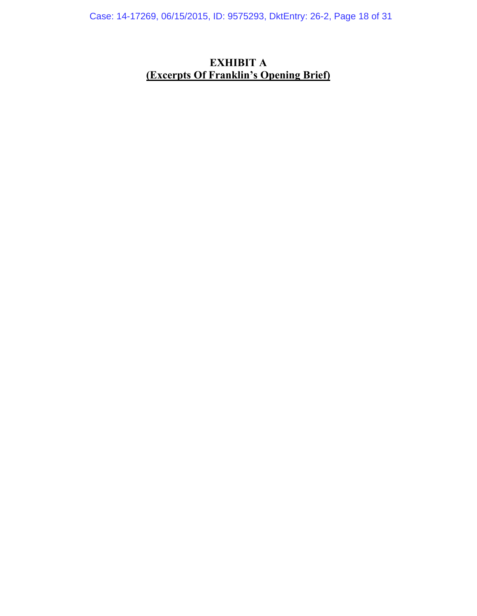Case: 14-17269, 06/15/2015, ID: 9575293, DktEntry: 26-2, Page 18 of 31

# **EXHIBIT A (Excerpts Of Franklin's Opening Brief)**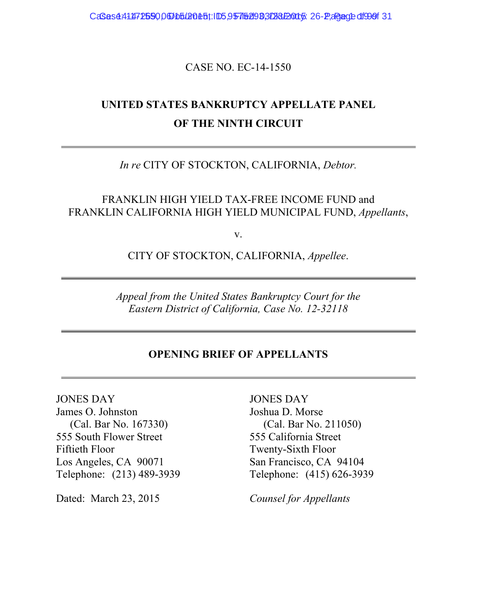CaSes4.411172590, 060105. 2015; ID5, 9575293, DR312015: 26-P, age: 1990 f31

CASE NO. EC-14-1550

# **UNITED STATES BANKRUPTCY APPELLATE PANEL OF THE NINTH CIRCUIT**

*In re* CITY OF STOCKTON, CALIFORNIA, *Debtor.*

FRANKLIN HIGH YIELD TAX-FREE INCOME FUND and FRANKLIN CALIFORNIA HIGH YIELD MUNICIPAL FUND, *Appellants*,

v.

CITY OF STOCKTON, CALIFORNIA, *Appellee*.

*Appeal from the United States Bankruptcy Court for the Eastern District of California, Case No. 12-32118*

### **OPENING BRIEF OF APPELLANTS**

JONES DAY James O. Johnston (Cal. Bar No. 167330) 555 South Flower Street Fiftieth Floor Los Angeles, CA 90071 Telephone: (213) 489-3939

Dated: March 23, 2015 *Counsel for Appellants*

JONES DAY Joshua D. Morse (Cal. Bar No. 211050) 555 California Street Twenty-Sixth Floor San Francisco, CA 94104 Telephone: (415) 626-3939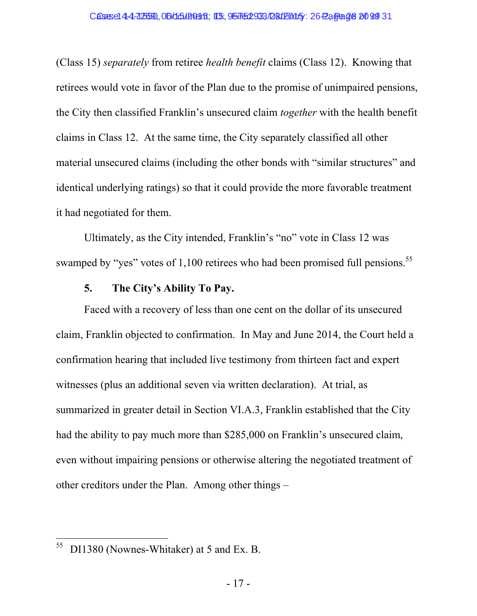(Class 15) *separately* from retiree *health benefit* claims (Class 12). Knowing that retirees would vote in favor of the Plan due to the promise of unimpaired pensions, the City then classified Franklin's unsecured claim *together* with the health benefit claims in Class 12. At the same time, the City separately classified all other material unsecured claims (including the other bonds with "similar structures" and identical underlying ratings) so that it could provide the more favorable treatment it had negotiated for them.

Ultimately, as the City intended, Franklin's "no" vote in Class 12 was swamped by "yes" votes of 1,100 retirees who had been promised full pensions.<sup>55</sup>

### **5. The City's Ability To Pay.**

Faced with a recovery of less than one cent on the dollar of its unsecured claim, Franklin objected to confirmation. In May and June 2014, the Court held a confirmation hearing that included live testimony from thirteen fact and expert witnesses (plus an additional seven via written declaration). At trial, as summarized in greater detail in Section VI.A.3, Franklin established that the City had the ability to pay much more than \$285,000 on Franklin's unsecured claim, even without impairing pensions or otherwise altering the negotiated treatment of other creditors under the Plan. Among other things –

<sup>55</sup> DI1380 (Nownes-Whitaker) at 5 and Ex. B.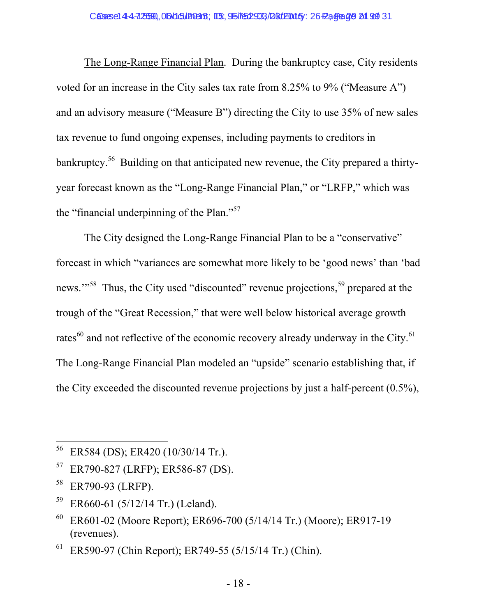The Long-Range Financial Plan. During the bankruptcy case, City residents voted for an increase in the City sales tax rate from 8.25% to 9% ("Measure A") and an advisory measure ("Measure B") directing the City to use 35% of new sales tax revenue to fund ongoing expenses, including payments to creditors in bankruptcy.<sup>56</sup> Building on that anticipated new revenue, the City prepared a thirtyyear forecast known as the "Long-Range Financial Plan," or "LRFP," which was the "financial underpinning of the Plan."57

The City designed the Long-Range Financial Plan to be a "conservative" forecast in which "variances are somewhat more likely to be 'good news' than 'bad news."<sup>58</sup> Thus, the City used "discounted" revenue projections,<sup>59</sup> prepared at the trough of the "Great Recession," that were well below historical average growth rates $^{60}$  and not reflective of the economic recovery already underway in the City. $^{61}$ The Long-Range Financial Plan modeled an "upside" scenario establishing that, if the City exceeded the discounted revenue projections by just a half-percent (0.5%),

<sup>56</sup> ER584 (DS); ER420 (10/30/14 Tr.).

<sup>57</sup> ER790-827 (LRFP); ER586-87 (DS).

<sup>58</sup> ER790-93 (LRFP).

 $59$  ER660-61 (5/12/14 Tr.) (Leland).

 $60$  ER601-02 (Moore Report); ER696-700 (5/14/14 Tr.) (Moore); ER917-19 (revenues).

 $^{61}$  ER590-97 (Chin Report); ER749-55 (5/15/14 Tr.) (Chin).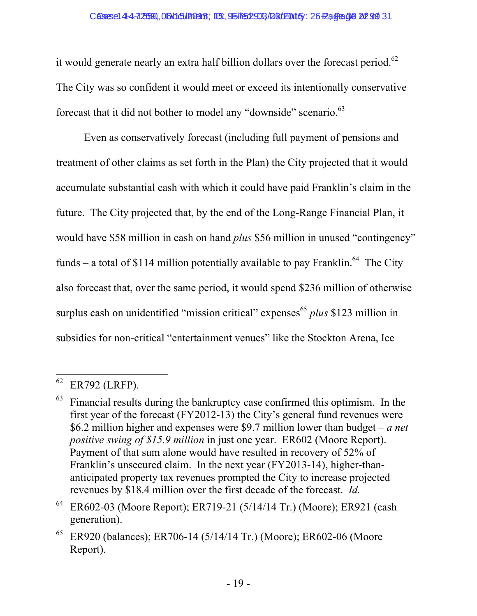it would generate nearly an extra half billion dollars over the forecast period.<sup>62</sup> The City was so confident it would meet or exceed its intentionally conservative forecast that it did not bother to model any "downside" scenario.<sup>63</sup>

Even as conservatively forecast (including full payment of pensions and treatment of other claims as set forth in the Plan) the City projected that it would accumulate substantial cash with which it could have paid Franklin's claim in the future. The City projected that, by the end of the Long-Range Financial Plan, it would have \$58 million in cash on hand *plus* \$56 million in unused "contingency" funds – a total of \$114 million potentially available to pay Franklin.<sup>64</sup> The City also forecast that, over the same period, it would spend \$236 million of otherwise surplus cash on unidentified "mission critical" expenses<sup>65</sup> *plus* \$123 million in subsidies for non-critical "entertainment venues" like the Stockton Arena, Ice

 $62$  ER792 (LRFP).

Financial results during the bankruptcy case confirmed this optimism. In the first year of the forecast (FY2012-13) the City's general fund revenues were \$6.2 million higher and expenses were \$9.7 million lower than budget – *a net positive swing of \$15.9 million* in just one year. ER602 (Moore Report). Payment of that sum alone would have resulted in recovery of 52% of Franklin's unsecured claim. In the next year (FY2013-14), higher-thananticipated property tax revenues prompted the City to increase projected revenues by \$18.4 million over the first decade of the forecast. *Id.* 

<sup>64</sup> ER602-03 (Moore Report); ER719-21 (5/14/14 Tr.) (Moore); ER921 (cash generation).

 $65$  ER920 (balances); ER706-14 (5/14/14 Tr.) (Moore); ER602-06 (Moore Report).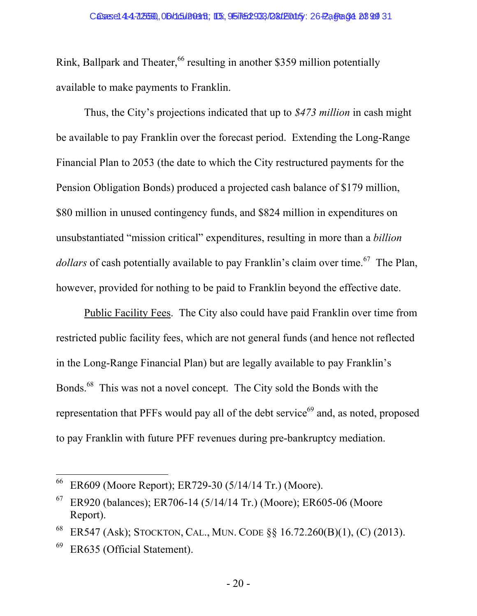Rink, Ballpark and Theater,<sup>66</sup> resulting in another \$359 million potentially available to make payments to Franklin.

Thus, the City's projections indicated that up to *\$473 million* in cash might be available to pay Franklin over the forecast period. Extending the Long-Range Financial Plan to 2053 (the date to which the City restructured payments for the Pension Obligation Bonds) produced a projected cash balance of \$179 million, \$80 million in unused contingency funds, and \$824 million in expenditures on unsubstantiated "mission critical" expenditures, resulting in more than a *billion dollars* of cash potentially available to pay Franklin's claim over time.<sup>67</sup> The Plan, however, provided for nothing to be paid to Franklin beyond the effective date.

Public Facility Fees. The City also could have paid Franklin over time from restricted public facility fees, which are not general funds (and hence not reflected in the Long-Range Financial Plan) but are legally available to pay Franklin's Bonds.68 This was not a novel concept. The City sold the Bonds with the representation that PFFs would pay all of the debt service<sup> $69$ </sup> and, as noted, proposed to pay Franklin with future PFF revenues during pre-bankruptcy mediation.

<sup>66</sup> ER609 (Moore Report); ER729-30 (5/14/14 Tr.) (Moore).

 $^{67}$  ER920 (balances); ER706-14 (5/14/14 Tr.) (Moore); ER605-06 (Moore Report).

<sup>68</sup> ER547 (Ask); STOCKTON, CAL., MUN. CODE §§ 16.72.260(B)(1), (C) (2013).

 $^{69}$  ER635 (Official Statement).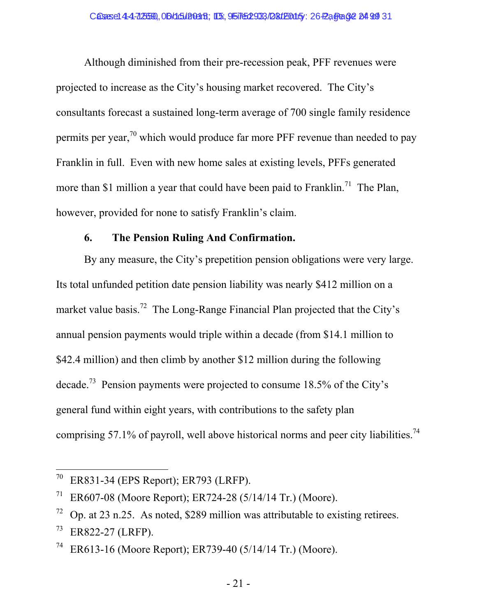Although diminished from their pre-recession peak, PFF revenues were projected to increase as the City's housing market recovered. The City's consultants forecast a sustained long-term average of 700 single family residence permits per year,<sup>70</sup> which would produce far more PFF revenue than needed to pay Franklin in full. Even with new home sales at existing levels, PFFs generated more than \$1 million a year that could have been paid to Franklin.<sup>71</sup> The Plan, however, provided for none to satisfy Franklin's claim.

## **6. The Pension Ruling And Confirmation.**

By any measure, the City's prepetition pension obligations were very large. Its total unfunded petition date pension liability was nearly \$412 million on a market value basis.<sup>72</sup> The Long-Range Financial Plan projected that the City's annual pension payments would triple within a decade (from \$14.1 million to \$42.4 million) and then climb by another \$12 million during the following decade.73 Pension payments were projected to consume 18.5% of the City's general fund within eight years, with contributions to the safety plan comprising 57.1% of payroll, well above historical norms and peer city liabilities.<sup>74</sup>

<sup>&</sup>lt;sup>70</sup> ER831-34 (EPS Report); ER793 (LRFP).

<sup>&</sup>lt;sup>71</sup> ER607-08 (Moore Report); ER724-28 (5/14/14 Tr.) (Moore).

 $\frac{72}{2}$  Op. at 23 n.25. As noted, \$289 million was attributable to existing retirees.

<sup>73</sup> ER822-27 (LRFP).

ER613-16 (Moore Report); ER739-40 (5/14/14 Tr.) (Moore).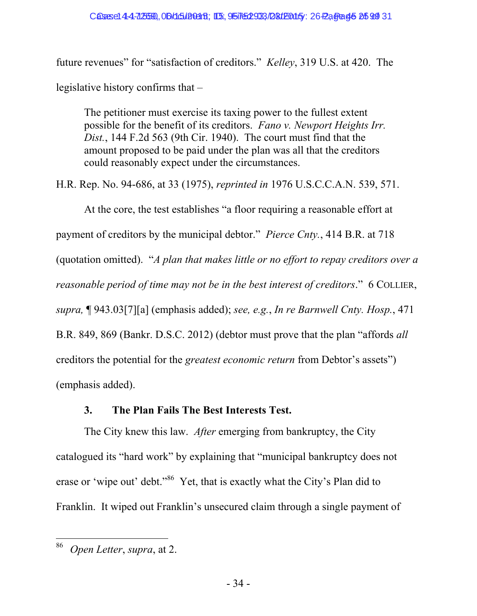future revenues" for "satisfaction of creditors." *Kelley*, 319 U.S. at 420. The legislative history confirms that –

The petitioner must exercise its taxing power to the fullest extent possible for the benefit of its creditors. *Fano v. Newport Heights Irr. Dist.*, 144 F.2d 563 (9th Cir. 1940). The court must find that the amount proposed to be paid under the plan was all that the creditors could reasonably expect under the circumstances.

H.R. Rep. No. 94-686, at 33 (1975), *reprinted in* 1976 U.S.C.C.A.N. 539, 571.

At the core, the test establishes "a floor requiring a reasonable effort at payment of creditors by the municipal debtor." *Pierce Cnty.*, 414 B.R. at 718 (quotation omitted). "*A plan that makes little or no effort to repay creditors over a reasonable period of time may not be in the best interest of creditors*." 6 COLLIER, *supra,* ¶ 943.03[7][a] (emphasis added); *see, e.g.*, *In re Barnwell Cnty. Hosp.*, 471 B.R. 849, 869 (Bankr. D.S.C. 2012) (debtor must prove that the plan "affords *all* creditors the potential for the *greatest economic return* from Debtor's assets") (emphasis added).

## **3. The Plan Fails The Best Interests Test.**

The City knew this law. *After* emerging from bankruptcy, the City catalogued its "hard work" by explaining that "municipal bankruptcy does not erase or 'wipe out' debt."<sup>86</sup> Yet, that is exactly what the City's Plan did to Franklin. It wiped out Franklin's unsecured claim through a single payment of

<sup>86</sup> 86 *Open Letter*, *supra*, at 2.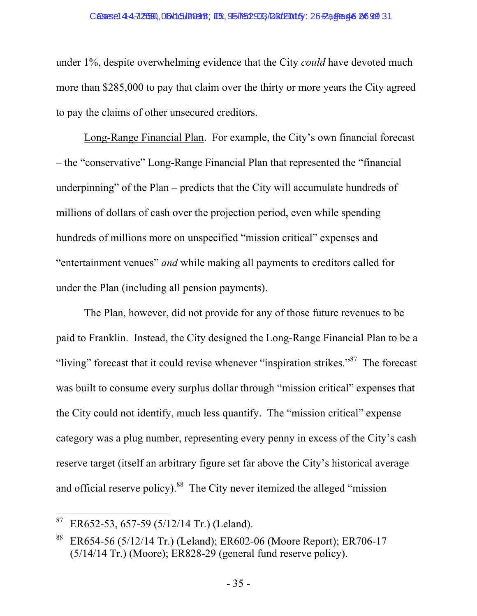#### Casese144-72559, 06/15/2015; ID: 95762933/28/2015: 26-2, Gage 46 26 99 31

under 1%, despite overwhelming evidence that the City *could* have devoted much more than \$285,000 to pay that claim over the thirty or more years the City agreed to pay the claims of other unsecured creditors.

Long-Range Financial Plan. For example, the City's own financial forecast – the "conservative" Long-Range Financial Plan that represented the "financial underpinning" of the Plan – predicts that the City will accumulate hundreds of millions of dollars of cash over the projection period, even while spending hundreds of millions more on unspecified "mission critical" expenses and "entertainment venues" *and* while making all payments to creditors called for under the Plan (including all pension payments).

The Plan, however, did not provide for any of those future revenues to be paid to Franklin. Instead, the City designed the Long-Range Financial Plan to be a "living" forecast that it could revise whenever "inspiration strikes."<sup>87</sup> The forecast was built to consume every surplus dollar through "mission critical" expenses that the City could not identify, much less quantify. The "mission critical" expense category was a plug number, representing every penny in excess of the City's cash reserve target (itself an arbitrary figure set far above the City's historical average and official reserve policy).<sup>88</sup> The City never itemized the alleged "mission"

 $87$  ER652-53, 657-59 (5/12/14 Tr.) (Leland).

<sup>88</sup> ER654-56 (5/12/14 Tr.) (Leland); ER602-06 (Moore Report); ER706-17 (5/14/14 Tr.) (Moore); ER828-29 (general fund reserve policy).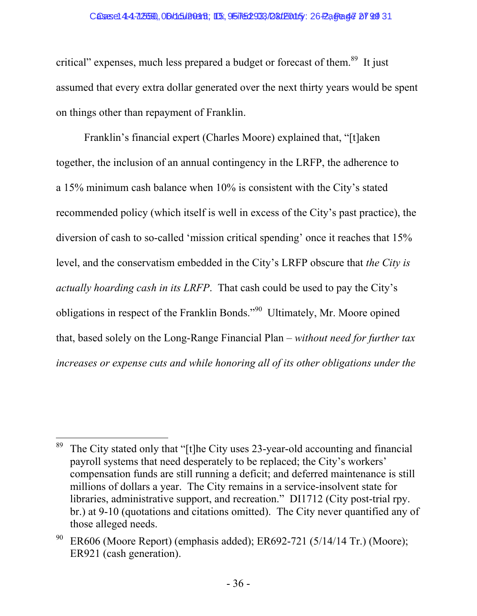#### Casese144-72559, 06/15/2015; ID: 95762933/28/2015 : 26-2, Gage 47 99 31

critical" expenses, much less prepared a budget or forecast of them.<sup>89</sup> It just assumed that every extra dollar generated over the next thirty years would be spent on things other than repayment of Franklin.

Franklin's financial expert (Charles Moore) explained that, "[t]aken together, the inclusion of an annual contingency in the LRFP, the adherence to a 15% minimum cash balance when 10% is consistent with the City's stated recommended policy (which itself is well in excess of the City's past practice), the diversion of cash to so-called 'mission critical spending' once it reaches that 15% level, and the conservatism embedded in the City's LRFP obscure that *the City is actually hoarding cash in its LRFP*. That cash could be used to pay the City's obligations in respect of the Franklin Bonds."90 Ultimately, Mr. Moore opined that, based solely on the Long-Range Financial Plan – *without need for further tax increases or expense cuts and while honoring all of its other obligations under the* 

 $\overline{a}$ <sup>89</sup> The City stated only that "[t]he City uses 23-year-old accounting and financial payroll systems that need desperately to be replaced; the City's workers' compensation funds are still running a deficit; and deferred maintenance is still millions of dollars a year. The City remains in a service-insolvent state for libraries, administrative support, and recreation." DI1712 (City post-trial rpy. br.) at 9-10 (quotations and citations omitted). The City never quantified any of those alleged needs.

ER606 (Moore Report) (emphasis added); ER692-721 (5/14/14 Tr.) (Moore); ER921 (cash generation).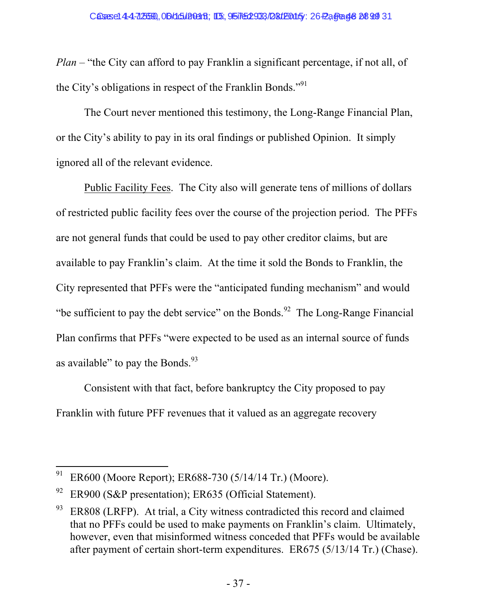*Plan* – "the City can afford to pay Franklin a significant percentage, if not all, of the City's obligations in respect of the Franklin Bonds."91

The Court never mentioned this testimony, the Long-Range Financial Plan, or the City's ability to pay in its oral findings or published Opinion. It simply ignored all of the relevant evidence.

Public Facility Fees. The City also will generate tens of millions of dollars of restricted public facility fees over the course of the projection period. The PFFs are not general funds that could be used to pay other creditor claims, but are available to pay Franklin's claim. At the time it sold the Bonds to Franklin, the City represented that PFFs were the "anticipated funding mechanism" and would "be sufficient to pay the debt service" on the Bonds.<sup>92</sup> The Long-Range Financial Plan confirms that PFFs "were expected to be used as an internal source of funds as available" to pay the Bonds. $^{93}$ 

Consistent with that fact, before bankruptcy the City proposed to pay Franklin with future PFF revenues that it valued as an aggregate recovery

 $\overline{a}$ <sup>91</sup> ER600 (Moore Report); ER688-730 (5/14/14 Tr.) (Moore).

<sup>&</sup>lt;sup>92</sup> ER900 (S&P presentation); ER635 (Official Statement).

 $93$  ER808 (LRFP). At trial, a City witness contradicted this record and claimed that no PFFs could be used to make payments on Franklin's claim. Ultimately, however, even that misinformed witness conceded that PFFs would be available after payment of certain short-term expenditures. ER675 (5/13/14 Tr.) (Chase).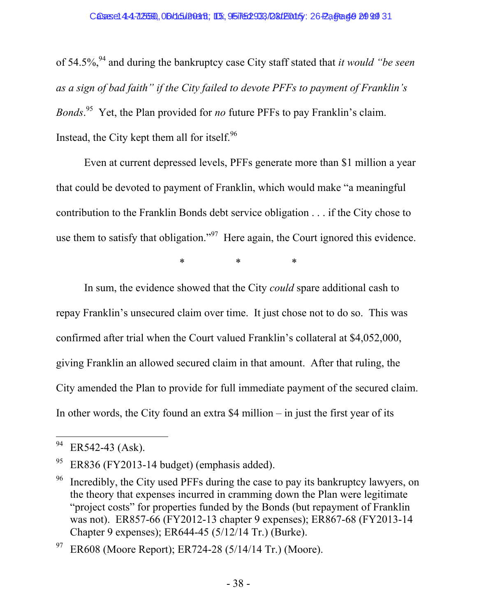of 54.5%,94 and during the bankruptcy case City staff stated that *it would "be seen as a sign of bad faith" if the City failed to devote PFFs to payment of Franklin's Bonds*. 95 Yet, the Plan provided for *no* future PFFs to pay Franklin's claim. Instead, the City kept them all for itself. $96$ 

Even at current depressed levels, PFFs generate more than \$1 million a year that could be devoted to payment of Franklin, which would make "a meaningful contribution to the Franklin Bonds debt service obligation . . . if the City chose to use them to satisfy that obligation."<sup>97</sup> Here again, the Court ignored this evidence.

\* \* \*

In sum, the evidence showed that the City *could* spare additional cash to repay Franklin's unsecured claim over time. It just chose not to do so. This was confirmed after trial when the Court valued Franklin's collateral at \$4,052,000, giving Franklin an allowed secured claim in that amount. After that ruling, the City amended the Plan to provide for full immediate payment of the secured claim. In other words, the City found an extra \$4 million – in just the first year of its

ER608 (Moore Report); ER724-28 (5/14/14 Tr.) (Moore).

 $\ensuremath{94}$ ER542-43 (Ask).

 $95$  ER836 (FY2013-14 budget) (emphasis added).

 $96$  Incredibly, the City used PFFs during the case to pay its bankruptcy lawyers, on the theory that expenses incurred in cramming down the Plan were legitimate "project costs" for properties funded by the Bonds (but repayment of Franklin was not). ER857-66 (FY2012-13 chapter 9 expenses); ER867-68 (FY2013-14 Chapter 9 expenses); ER644-45 (5/12/14 Tr.) (Burke).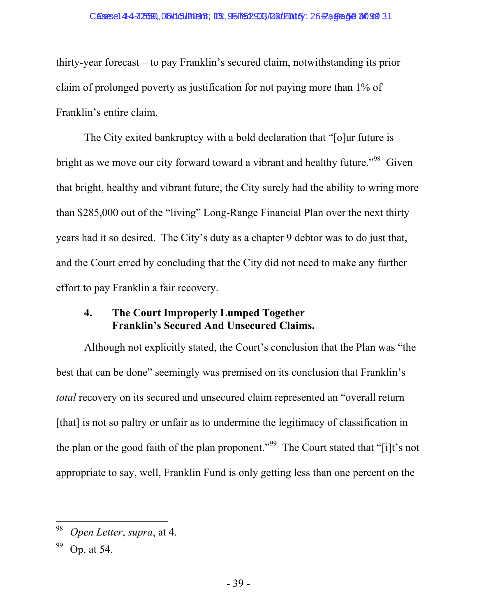thirty-year forecast – to pay Franklin's secured claim, notwithstanding its prior claim of prolonged poverty as justification for not paying more than 1% of Franklin's entire claim.

The City exited bankruptcy with a bold declaration that "[o]ur future is bright as we move our city forward toward a vibrant and healthy future.<sup>"98</sup> Given that bright, healthy and vibrant future, the City surely had the ability to wring more than \$285,000 out of the "living" Long-Range Financial Plan over the next thirty years had it so desired. The City's duty as a chapter 9 debtor was to do just that, and the Court erred by concluding that the City did not need to make any further effort to pay Franklin a fair recovery.

## **4. The Court Improperly Lumped Together Franklin's Secured And Unsecured Claims.**

Although not explicitly stated, the Court's conclusion that the Plan was "the best that can be done" seemingly was premised on its conclusion that Franklin's *total* recovery on its secured and unsecured claim represented an "overall return [that] is not so paltry or unfair as to undermine the legitimacy of classification in the plan or the good faith of the plan proponent."<sup>99</sup> The Court stated that "[i]t's not appropriate to say, well, Franklin Fund is only getting less than one percent on the

<sup>98</sup> *Open Letter*, *supra*, at 4.

Op. at 54.